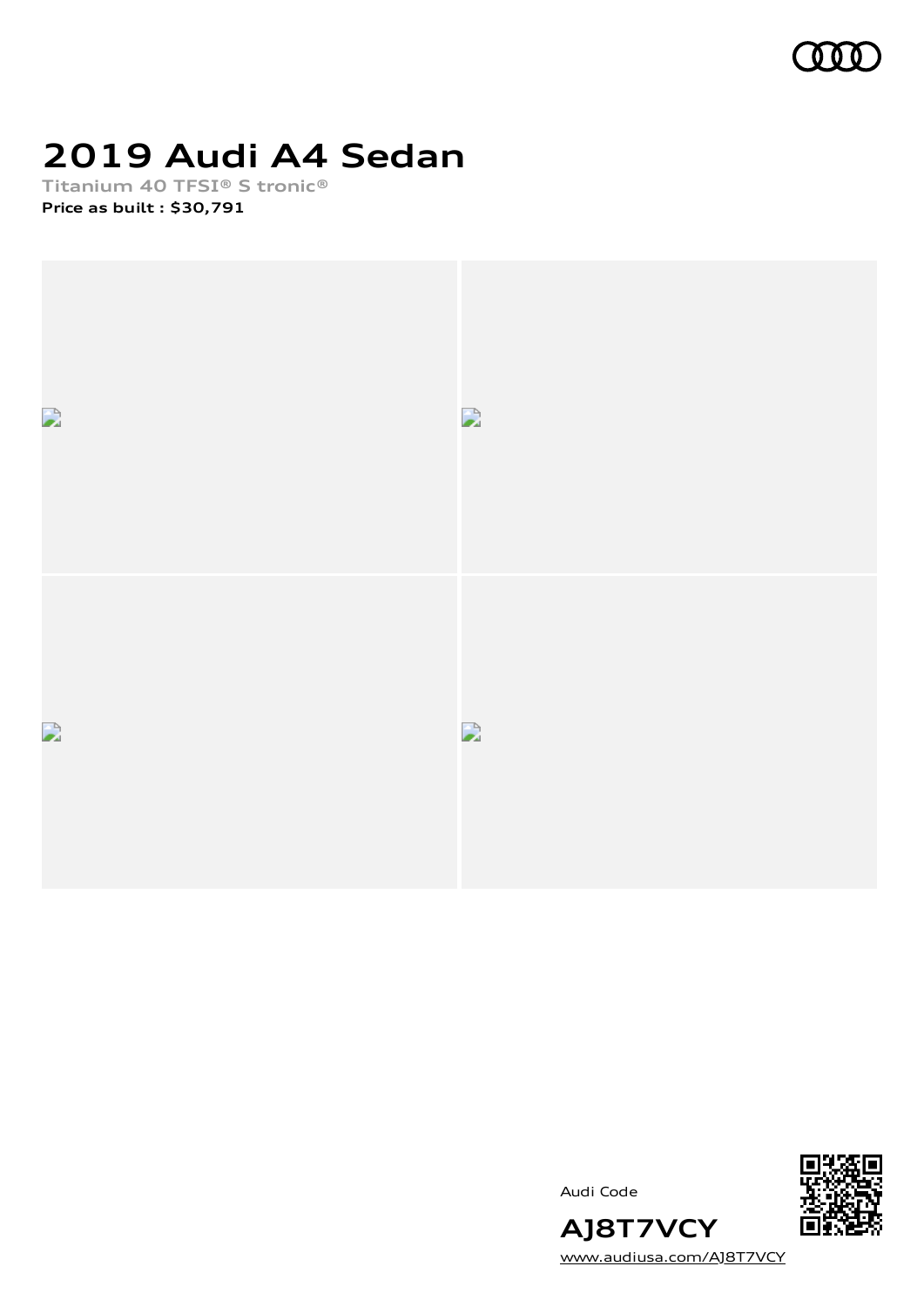

# **2019 Audi A4 Sedan**

**Titanium 40 TFSI® S tronic® Price as built [:](#page-8-0) \$30,791**



Audi Code



[www.audiusa.com/AJ8T7VCY](https://www.audiusa.com/AJ8T7VCY)

**AJ8T7VCY**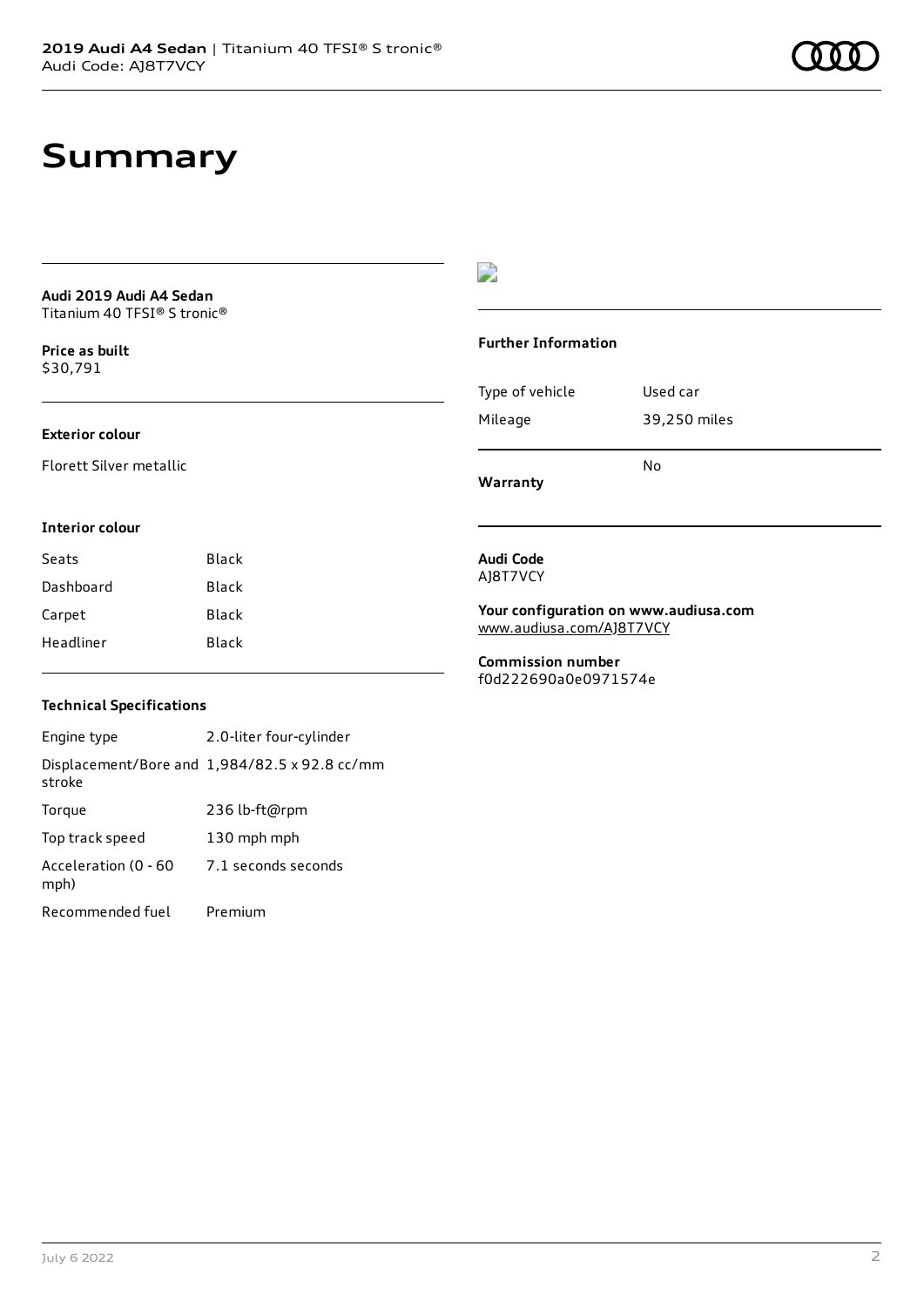# **Summary**

**Audi 2019 Audi A4 Sedan** Titanium 40 TFSI® S tronic®

**Price as buil[t](#page-8-0)** \$30,791

### **Exterior colour**

Florett Silver metallic

### D

#### **Further Information**

|                 | N٥           |
|-----------------|--------------|
| Mileage         | 39,250 miles |
| Type of vehicle | Used car     |

**Warranty**

#### **Interior colour**

| Seats     | Black |
|-----------|-------|
| Dashboard | Black |
| Carpet    | Black |
| Headliner | Black |

## **Technical Specifications**

Engine type 2.0-liter four-cylinder Displacement/Bore and 1,984/82.5 x 92.8 cc/mm stroke Torque 236 lb-ft@rpm Top track speed 130 mph mph Acceleration (0 - 60 mph) 7.1 seconds seconds Recommended fuel Premium

#### **Audi Code** AJ8T7VCY

**Your configuration on www.audiusa.com** [www.audiusa.com/AJ8T7VCY](https://www.audiusa.com/AJ8T7VCY)

**Commission number** f0d222690a0e0971574e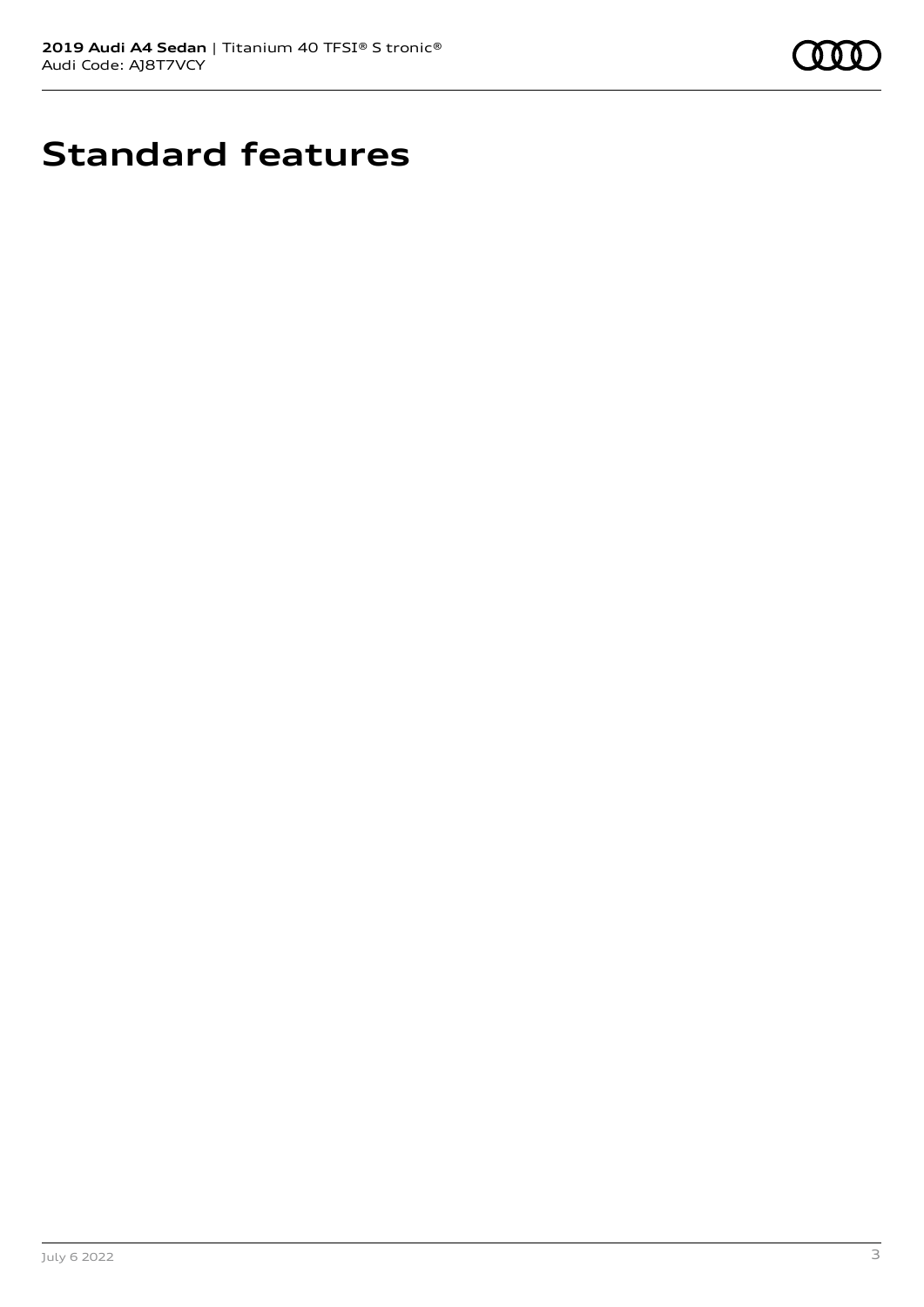

# **Standard features**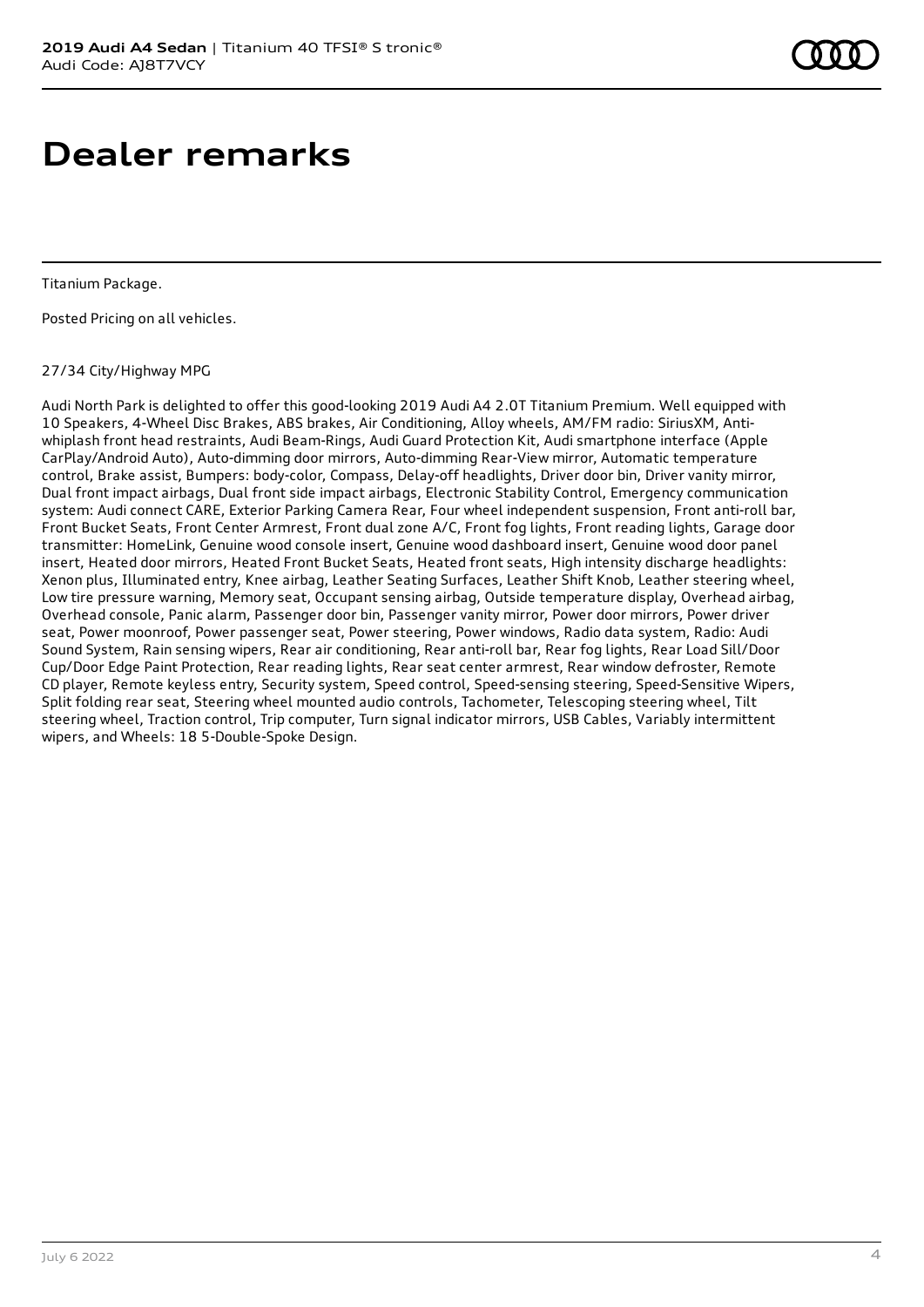# **Dealer remarks**

Titanium Package.

Posted Pricing on all vehicles.

### 27/34 City/Highway MPG

Audi North Park is delighted to offer this good-looking 2019 Audi A4 2.0T Titanium Premium. Well equipped with 10 Speakers, 4-Wheel Disc Brakes, ABS brakes, Air Conditioning, Alloy wheels, AM/FM radio: SiriusXM, Antiwhiplash front head restraints, Audi Beam-Rings, Audi Guard Protection Kit, Audi smartphone interface (Apple CarPlay/Android Auto), Auto-dimming door mirrors, Auto-dimming Rear-View mirror, Automatic temperature control, Brake assist, Bumpers: body-color, Compass, Delay-off headlights, Driver door bin, Driver vanity mirror, Dual front impact airbags, Dual front side impact airbags, Electronic Stability Control, Emergency communication system: Audi connect CARE, Exterior Parking Camera Rear, Four wheel independent suspension, Front anti-roll bar, Front Bucket Seats, Front Center Armrest, Front dual zone A/C, Front fog lights, Front reading lights, Garage door transmitter: HomeLink, Genuine wood console insert, Genuine wood dashboard insert, Genuine wood door panel insert, Heated door mirrors, Heated Front Bucket Seats, Heated front seats, High intensity discharge headlights: Xenon plus, Illuminated entry, Knee airbag, Leather Seating Surfaces, Leather Shift Knob, Leather steering wheel, Low tire pressure warning, Memory seat, Occupant sensing airbag, Outside temperature display, Overhead airbag, Overhead console, Panic alarm, Passenger door bin, Passenger vanity mirror, Power door mirrors, Power driver seat, Power moonroof, Power passenger seat, Power steering, Power windows, Radio data system, Radio: Audi Sound System, Rain sensing wipers, Rear air conditioning, Rear anti-roll bar, Rear fog lights, Rear Load Sill/Door Cup/Door Edge Paint Protection, Rear reading lights, Rear seat center armrest, Rear window defroster, Remote CD player, Remote keyless entry, Security system, Speed control, Speed-sensing steering, Speed-Sensitive Wipers, Split folding rear seat, Steering wheel mounted audio controls, Tachometer, Telescoping steering wheel, Tilt steering wheel, Traction control, Trip computer, Turn signal indicator mirrors, USB Cables, Variably intermittent wipers, and Wheels: 18 5-Double-Spoke Design.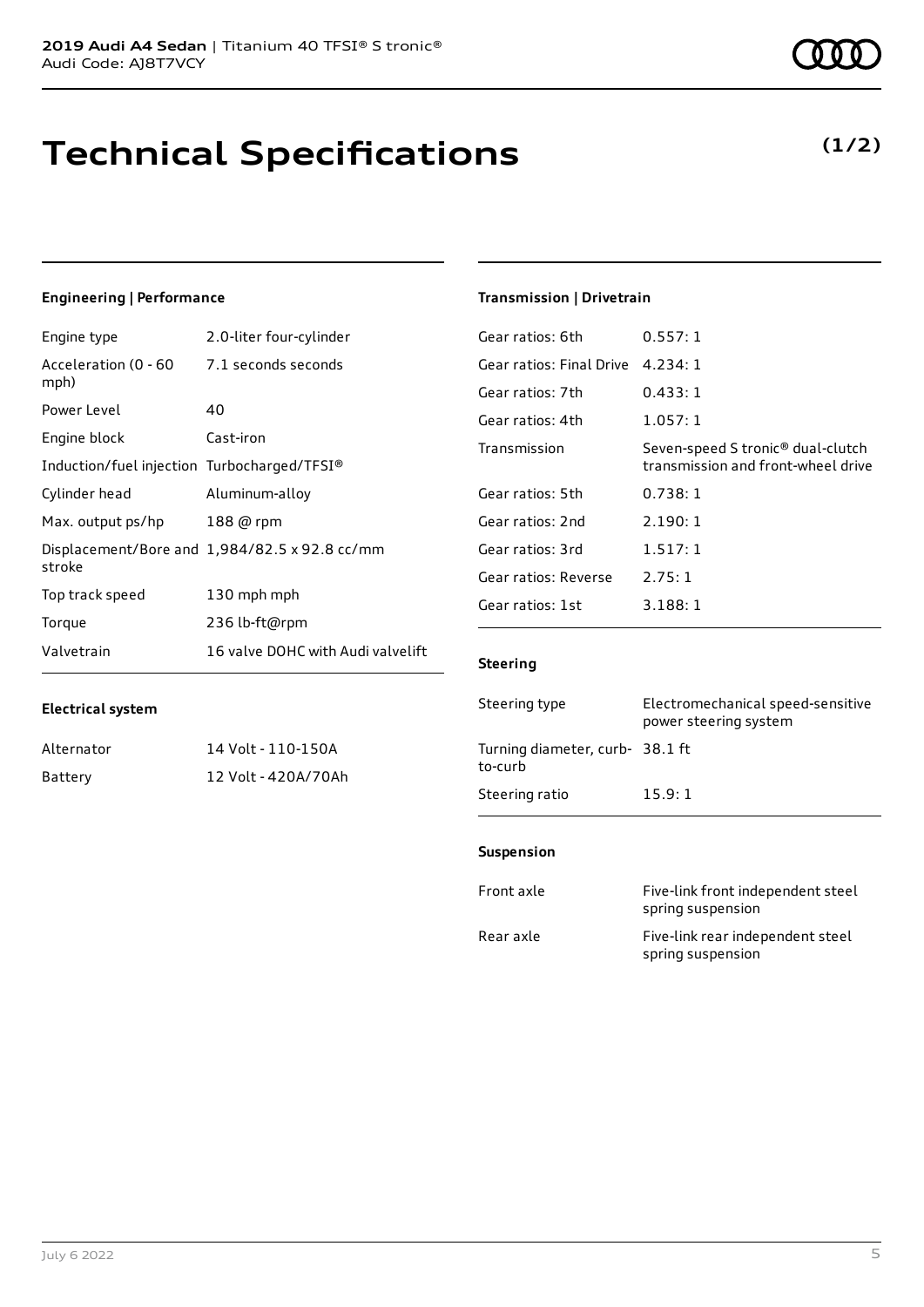# **Technical Specifications**

### **Engineering | Performance**

| Engine type                                 | 2.0-liter four-cylinder                       |
|---------------------------------------------|-----------------------------------------------|
| Acceleration (0 - 60<br>mph)                | 7.1 seconds seconds                           |
| Power Level                                 | 40                                            |
| Engine block                                | Cast-iron                                     |
| Induction/fuel injection Turbocharged/TFSI® |                                               |
| Cylinder head                               | Aluminum-alloy                                |
| Max. output ps/hp                           | 188 @ rpm                                     |
| stroke                                      | Displacement/Bore and 1,984/82.5 x 92.8 cc/mm |
| Top track speed                             | 130 mph mph                                   |
| Torque                                      | 236 lb-ft@rpm                                 |
| Valvetrain                                  | 16 valve DOHC with Audi valvelift             |

### **Transmission | Drivetrain**

| Gear ratios: 6th         | 0.557:1                                                                             |
|--------------------------|-------------------------------------------------------------------------------------|
| Gear ratios: Final Drive | 4.234:1                                                                             |
| Gear ratios: 7th         | 0.433:1                                                                             |
| Gear ratios: 4th         | 1.057:1                                                                             |
| Transmission             | Seven-speed S tronic <sup>®</sup> dual-clutch<br>transmission and front-wheel drive |
| Gear ratios: 5th         | 0.738:1                                                                             |
| Gear ratios: 2nd         | 2.190:1                                                                             |
| Gear ratios: 3rd         | 1.517:1                                                                             |
| Gear ratios: Reverse     | 2.75:1                                                                              |
| Gear ratios: 1st         | 3.188:1                                                                             |
|                          |                                                                                     |

### **Steering**

| Steering type                             | Electromechanical speed-sensitive<br>power steering system |
|-------------------------------------------|------------------------------------------------------------|
| Turning diameter, curb-38.1 ft<br>to-curb |                                                            |
| Steering ratio                            | 15.9:1                                                     |

#### **Suspension**

| Front axle | Five-link front independent steel<br>spring suspension |
|------------|--------------------------------------------------------|
| Rear axle  | Five-link rear independent steel<br>spring suspension  |

Alternator 14 Volt - 110-150A Battery 12 Volt - 420A/70Ah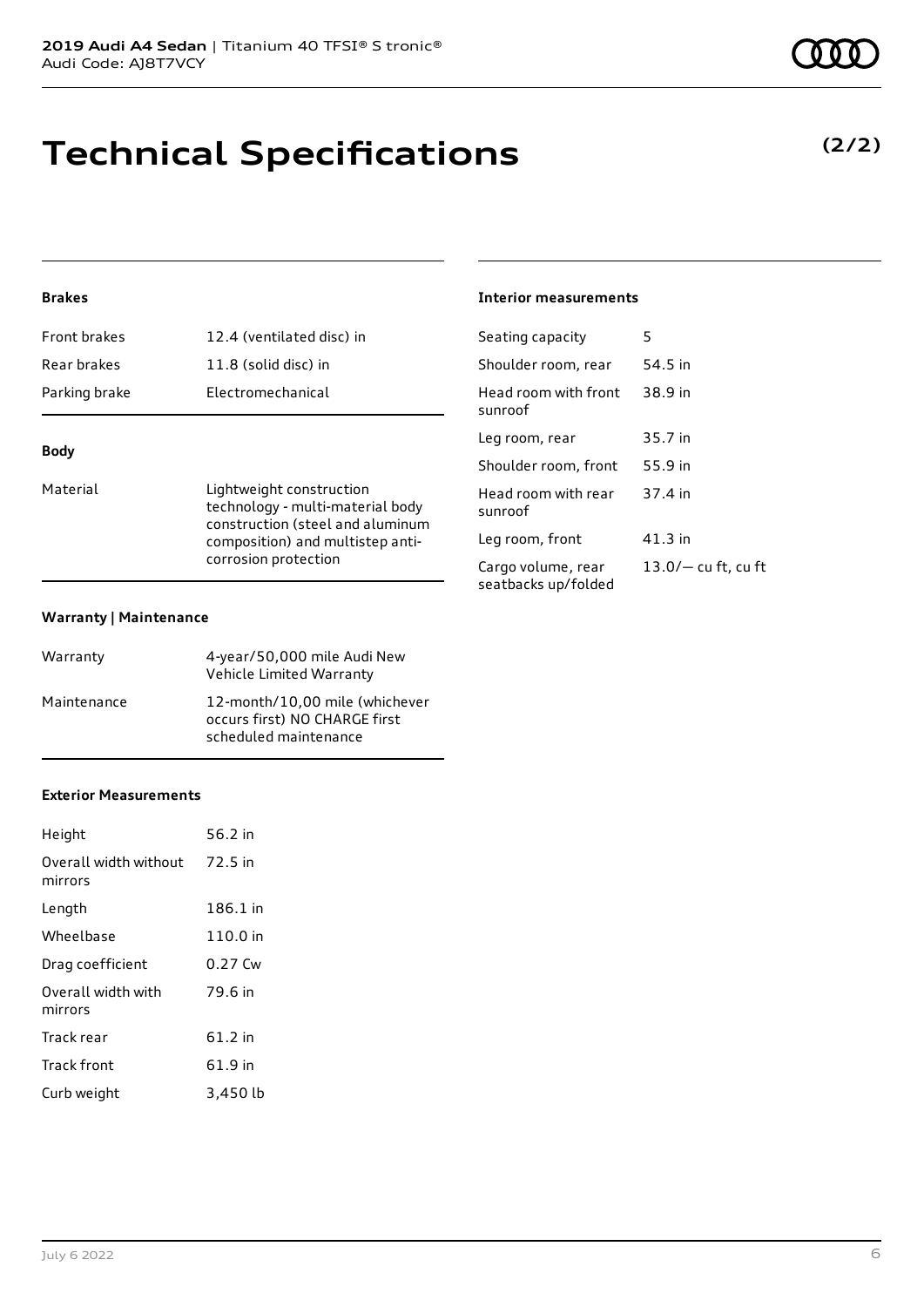# **Technical Specifications**

### **Brakes**

| Parking brake       | Electromechanical         |
|---------------------|---------------------------|
| Rear brakes         | 11.8 (solid disc) in      |
| <b>Front brakes</b> | 12.4 (ventilated disc) in |

### **Body**

Material **Lightweight construction** technology - multi-material body construction (steel and aluminum composition) and multistep anticorrosion protection

#### **Warranty | Maintenance**

| Warranty    | 4-year/50,000 mile Audi New<br>Vehicle Limited Warranty                                  |
|-------------|------------------------------------------------------------------------------------------|
| Maintenance | 12-month/10,00 mile (whichever<br>occurs first) NO CHARGE first<br>scheduled maintenance |

### **Exterior Measurements**

| Height                           | 56.2 in  |
|----------------------------------|----------|
| Overall width without<br>mirrors | 72.5 in  |
| Length                           | 186.1 in |
| Wheelbase                        | 110.0 in |
| Drag coefficient                 | 0.27 Cw  |
| Overall width with<br>mirrors    | 79.6 in  |
| Track rear                       | 61.2 in  |
| Track front                      | 61.9 in  |
| Curb weight                      | 3,450 lb |

### **Interior measurements**

| Seating capacity                          | 5                     |
|-------------------------------------------|-----------------------|
| Shoulder room, rear                       | 54.5 in               |
| Head room with front<br>sunroof           | 38.9 in               |
| Leg room, rear                            | 35.7 in               |
| Shoulder room, front                      | 55.9 in               |
| Head room with rear<br>sunroof            | 37.4 in               |
| Leg room, front                           | 41.3 in               |
| Cargo volume, rear<br>seatbacks up/folded | $13.0/-$ cu ft, cu ft |
|                                           |                       |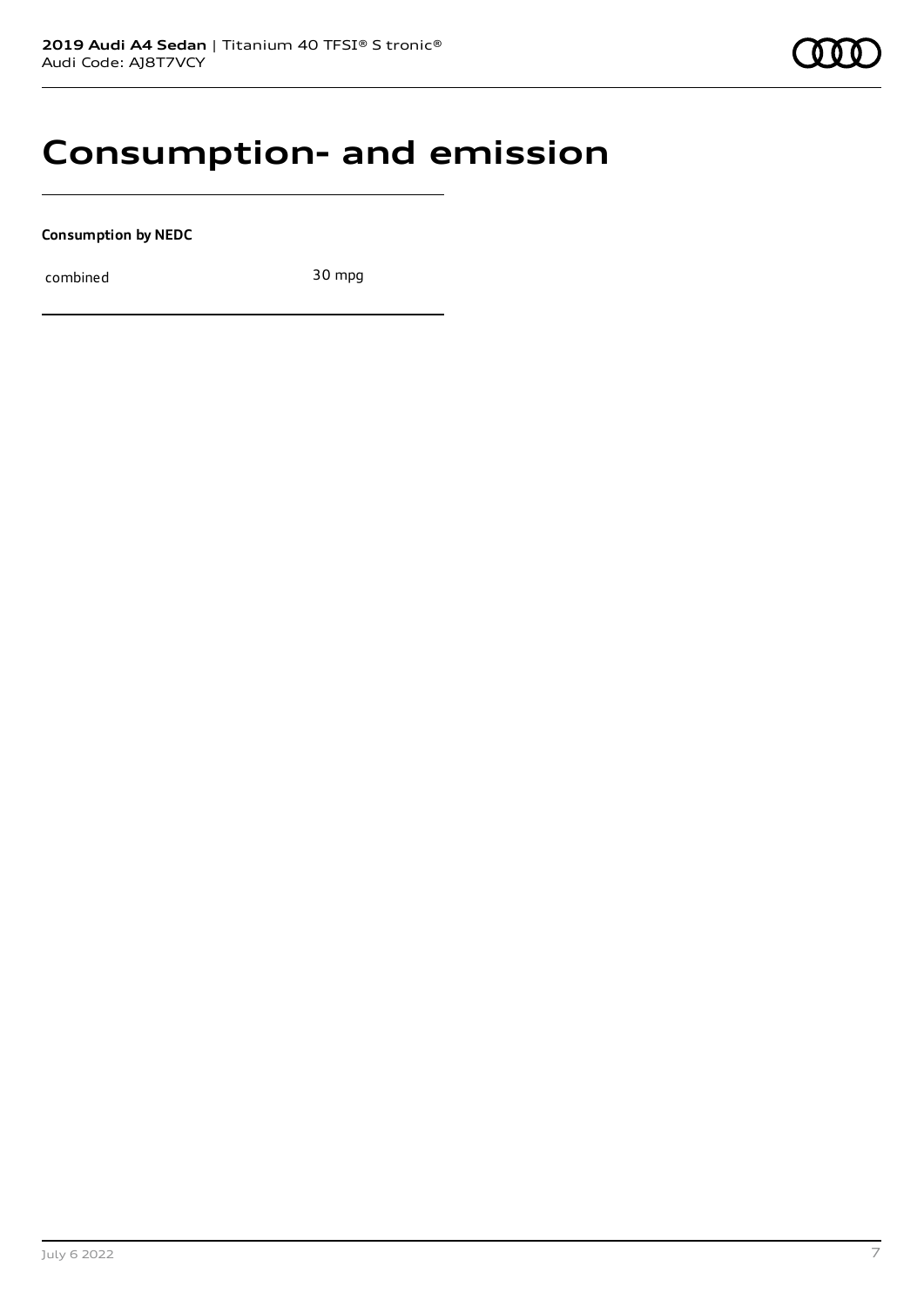# **Consumption- and emission**

**Consumption by NEDC**

combined 30 mpg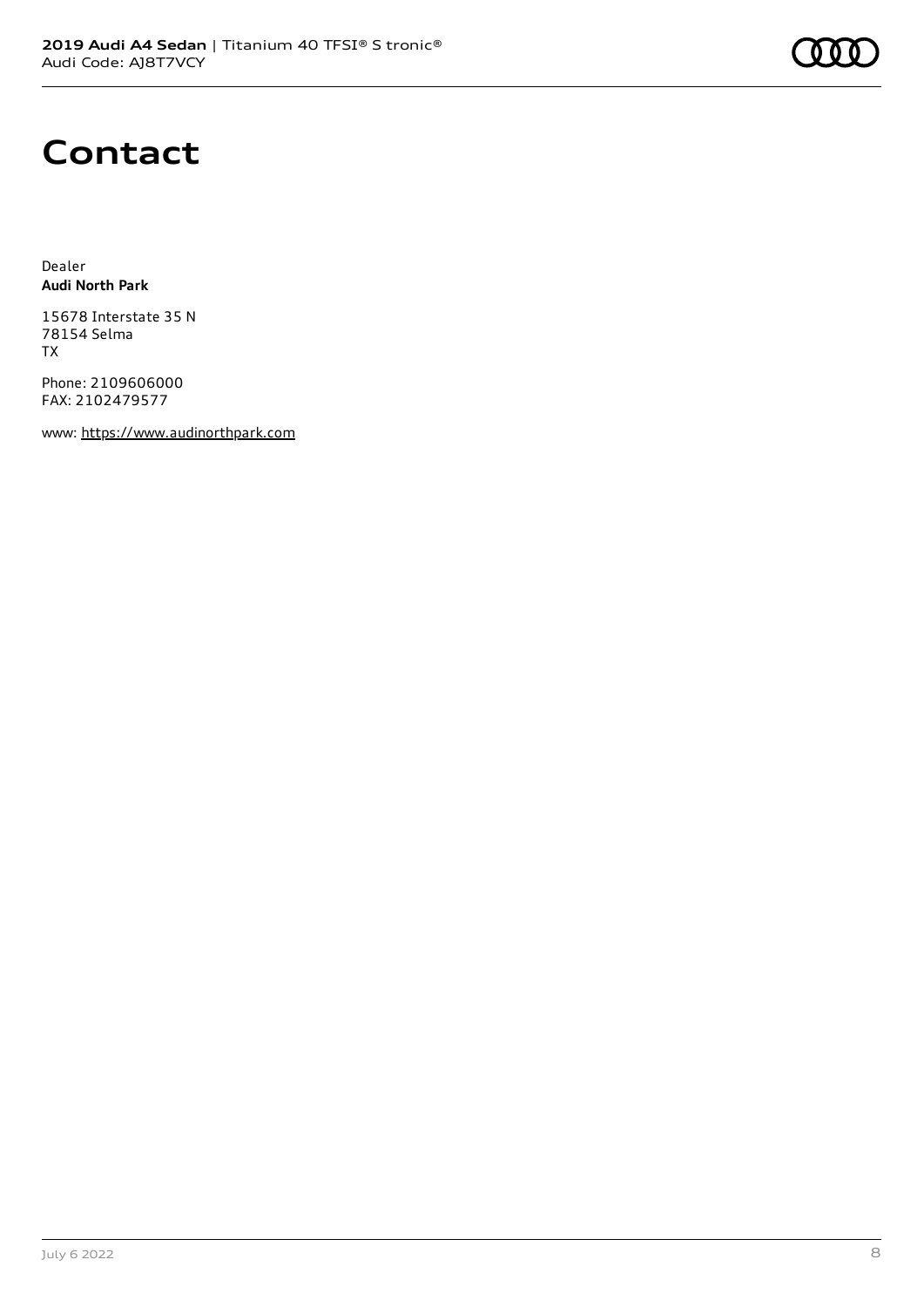# **Contact**

Dealer **Audi North Park**

15678 Interstate 35 N 78154 Selma TX

Phone: 2109606000 FAX: 2102479577

www: [https://www.audinorthpark.com](https://www.audinorthpark.com/)